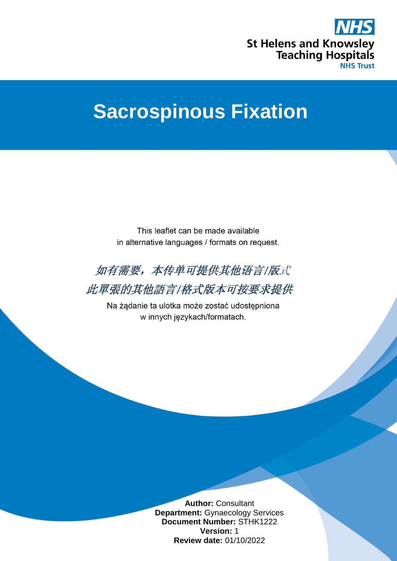

# **Sacrospinous Fixation**

This leaflet can be made available in alternative languages / formats on request.



此單張的其他語言/格式版本可按要求提供

Na żądanie ta ulotka może zostać udostępniona w innych językach/formatach.

> **Author:** Consultant **Department:** Gynaecology Services **Document Number:** STHK1222 **Version:** 1 **Review date:** 01/10/2022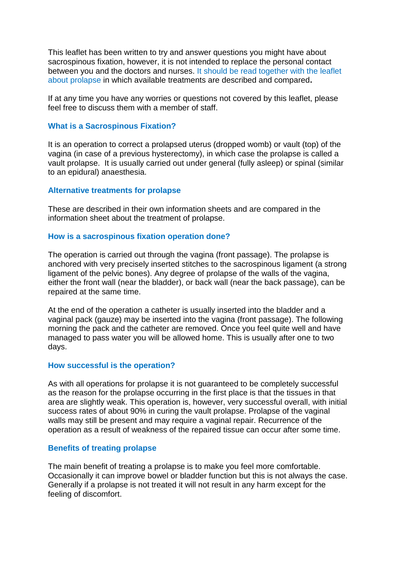This leaflet has been written to try and answer questions you might have about sacrospinous fixation, however, it is not intended to replace the personal contact between you and the doctors and nurses. It should be read together with the leaflet about prolapse in which available treatments are described and compared**.**

If at any time you have any worries or questions not covered by this leaflet, please feel free to discuss them with a member of staff.

## **What is a Sacrospinous Fixation?**

It is an operation to correct a prolapsed uterus (dropped womb) or vault (top) of the vagina (in case of a previous hysterectomy), in which case the prolapse is called a vault prolapse. It is usually carried out under general (fully asleep) or spinal (similar to an epidural) anaesthesia.

## **Alternative treatments for prolapse**

These are described in their own information sheets and are compared in the information sheet about the treatment of prolapse.

## **How is a sacrospinous fixation operation done?**

The operation is carried out through the vagina (front passage). The prolapse is anchored with very precisely inserted stitches to the sacrospinous ligament (a strong ligament of the pelvic bones). Any degree of prolapse of the walls of the vagina, either the front wall (near the bladder), or back wall (near the back passage), can be repaired at the same time.

At the end of the operation a catheter is usually inserted into the bladder and a vaginal pack (gauze) may be inserted into the vagina (front passage). The following morning the pack and the catheter are removed. Once you feel quite well and have managed to pass water you will be allowed home. This is usually after one to two days.

## **How successful is the operation?**

As with all operations for prolapse it is not guaranteed to be completely successful as the reason for the prolapse occurring in the first place is that the tissues in that area are slightly weak. This operation is, however, very successful overall, with initial success rates of about 90% in curing the vault prolapse. Prolapse of the vaginal walls may still be present and may require a vaginal repair. Recurrence of the operation as a result of weakness of the repaired tissue can occur after some time.

## **Benefits of treating prolapse**

The main benefit of treating a prolapse is to make you feel more comfortable. Occasionally it can improve bowel or bladder function but this is not always the case. Generally if a prolapse is not treated it will not result in any harm except for the feeling of discomfort.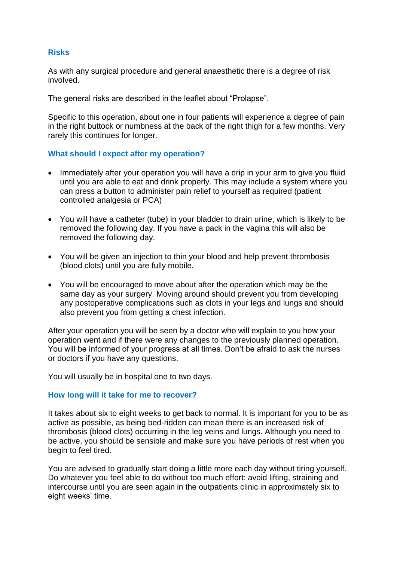# **Risks**

As with any surgical procedure and general anaesthetic there is a degree of risk involved.

The general risks are described in the leaflet about "Prolapse".

Specific to this operation, about one in four patients will experience a degree of pain in the right buttock or numbness at the back of the right thigh for a few months. Very rarely this continues for longer.

# **What should I expect after my operation?**

- Immediately after your operation you will have a drip in your arm to give you fluid until you are able to eat and drink properly. This may include a system where you can press a button to administer pain relief to yourself as required (patient controlled analgesia or PCA)
- You will have a catheter (tube) in your bladder to drain urine, which is likely to be removed the following day. If you have a pack in the vagina this will also be removed the following day.
- You will be given an injection to thin your blood and help prevent thrombosis (blood clots) until you are fully mobile.
- You will be encouraged to move about after the operation which may be the same day as your surgery. Moving around should prevent you from developing any postoperative complications such as clots in your legs and lungs and should also prevent you from getting a chest infection.

After your operation you will be seen by a doctor who will explain to you how your operation went and if there were any changes to the previously planned operation. You will be informed of your progress at all times. Don't be afraid to ask the nurses or doctors if you have any questions.

You will usually be in hospital one to two days.

## **How long will it take for me to recover?**

It takes about six to eight weeks to get back to normal. It is important for you to be as active as possible, as being bed-ridden can mean there is an increased risk of thrombosis (blood clots) occurring in the leg veins and lungs. Although you need to be active, you should be sensible and make sure you have periods of rest when you begin to feel tired.

You are advised to gradually start doing a little more each day without tiring yourself. Do whatever you feel able to do without too much effort: avoid lifting, straining and intercourse until you are seen again in the outpatients clinic in approximately six to eight weeks' time.